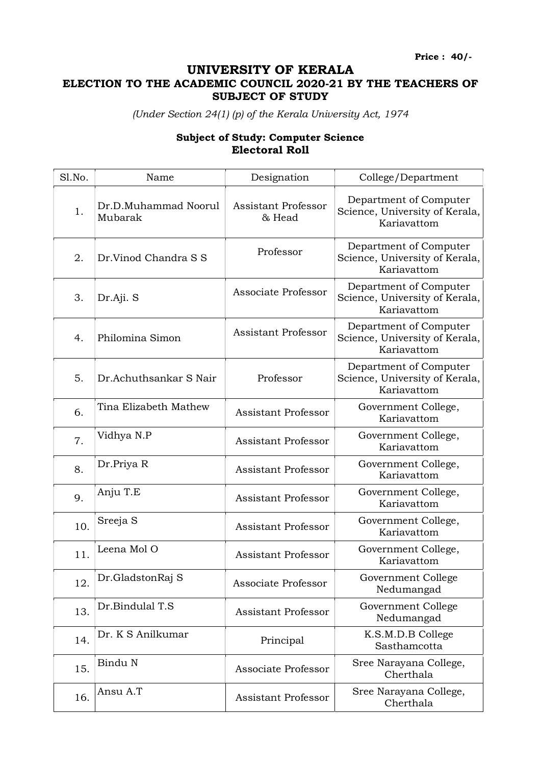Price : 40/-

## UNIVERSITY OF KERALA

## ELECTION TO THE ACADEMIC COUNCIL 2020-21 BY THE TEACHERS OF SUBJECT OF STUDY

(Under Section 24(1) (p) of the Kerala University Act, 1974

## Subject of Study: Computer Science Electoral Roll

| Sl.No. | Name                            | Designation                   | College/Department                                                      |
|--------|---------------------------------|-------------------------------|-------------------------------------------------------------------------|
| 1.     | Dr.D.Muhammad Noorul<br>Mubarak | Assistant Professor<br>& Head | Department of Computer<br>Science, University of Kerala,<br>Kariavattom |
| 2.     | Dr.Vinod Chandra S S            | Professor                     | Department of Computer<br>Science, University of Kerala,<br>Kariavattom |
| 3.     | Dr.Aji. S                       | Associate Professor           | Department of Computer<br>Science, University of Kerala,<br>Kariavattom |
| 4.     | Philomina Simon                 | <b>Assistant Professor</b>    | Department of Computer<br>Science, University of Kerala,<br>Kariavattom |
| 5.     | Dr.Achuthsankar S Nair          | Professor                     | Department of Computer<br>Science, University of Kerala,<br>Kariavattom |
| 6.     | Tina Elizabeth Mathew           | <b>Assistant Professor</b>    | Government College,<br>Kariavattom                                      |
| 7.     | Vidhya N.P                      | <b>Assistant Professor</b>    | Government College,<br>Kariavattom                                      |
| 8.     | Dr.Priya R                      | <b>Assistant Professor</b>    | Government College,<br>Kariavattom                                      |
| 9.     | Anju T.E                        | <b>Assistant Professor</b>    | Government College,<br>Kariavattom                                      |
| 10.    | Sreeja S                        | <b>Assistant Professor</b>    | Government College,<br>Kariavattom                                      |
| 11.    | Leena Mol O                     | <b>Assistant Professor</b>    | Government College,<br>Kariavattom                                      |
| 12.    | Dr.GladstonRaj S                | Associate Professor           | Government College<br>Nedumangad                                        |
| 13.    | Dr.Bindulal T.S                 | <b>Assistant Professor</b>    | Government College<br>Nedumangad                                        |
| 14.    | Dr. K S Anilkumar               | Principal                     | K.S.M.D.B College<br>Sasthamcotta                                       |
| 15.    | Bindu N                         | Associate Professor           | Sree Narayana College,<br>Cherthala                                     |
| 16.    | Ansu A.T                        | Assistant Professor           | Sree Narayana College,<br>Cherthala                                     |